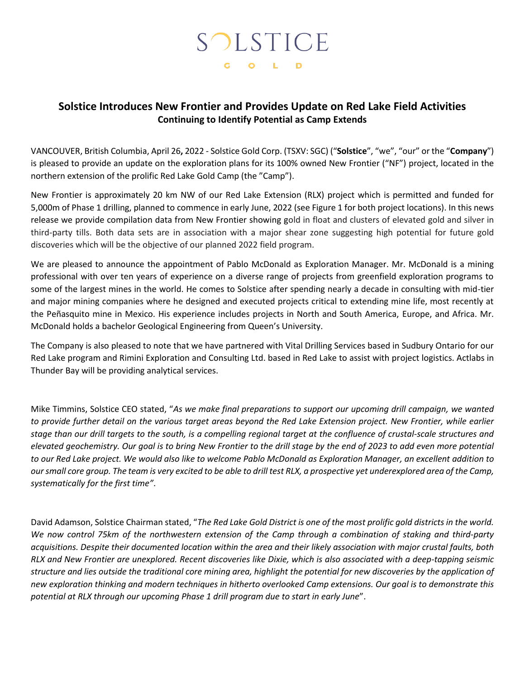# SOLSTICE G O L D

# **Solstice Introduces New Frontier and Provides Update on Red Lake Field Activities Continuing to Identify Potential as Camp Extends**

VANCOUVER, British Columbia, April 26**,** 2022 - Solstice Gold Corp. (TSXV: SGC) ("**Solstice**", "we", "our" or the "**Company**") is pleased to provide an update on the exploration plans for its 100% owned New Frontier ("NF") project, located in the northern extension of the prolific Red Lake Gold Camp (the "Camp").

New Frontier is approximately 20 km NW of our Red Lake Extension (RLX) project which is permitted and funded for 5,000m of Phase 1 drilling, planned to commence in early June, 2022 (see Figure 1 for both project locations). In this news release we provide compilation data from New Frontier showing gold in float and clusters of elevated gold and silver in third-party tills. Both data sets are in association with a major shear zone suggesting high potential for future gold discoveries which will be the objective of our planned 2022 field program.

We are pleased to announce the appointment of Pablo McDonald as Exploration Manager. Mr. McDonald is a mining professional with over ten years of experience on a diverse range of projects from greenfield exploration programs to some of the largest mines in the world. He comes to Solstice after spending nearly a decade in consulting with mid-tier and major mining companies where he designed and executed projects critical to extending mine life, most recently at the Peñasquito mine in Mexico. His experience includes projects in North and South America, Europe, and Africa. Mr. McDonald holds a bachelor Geological Engineering from Queen's University.

The Company is also pleased to note that we have partnered with Vital Drilling Services based in Sudbury Ontario for our Red Lake program and Rimini Exploration and Consulting Ltd. based in Red Lake to assist with project logistics. Actlabs in Thunder Bay will be providing analytical services.

Mike Timmins, Solstice CEO stated, "*As we make final preparations to support our upcoming drill campaign, we wanted to provide further detail on the various target areas beyond the Red Lake Extension project. New Frontier, while earlier stage than our drill targets to the south, is a compelling regional target at the confluence of crustal-scale structures and elevated geochemistry. Our goal is to bring New Frontier to the drill stage by the end of 2023 to add even more potential to our Red Lake project. We would also like to welcome Pablo McDonald as Exploration Manager, an excellent addition to our small core group. The team is very excited to be able to drill test RLX, a prospective yet underexplored area of the Camp, systematically for the first time"*.

David Adamson, Solstice Chairman stated, "*The Red Lake Gold District is one of the most prolific gold districts in the world. We now control 75km of the northwestern extension of the Camp through a combination of staking and third-party acquisitions. Despite their documented location within the area and their likely association with major crustal faults, both RLX and New Frontier are unexplored. Recent discoveries like Dixie, which is also associated with a deep-tapping seismic structure and lies outside the traditional core mining area, highlight the potential for new discoveries by the application of new exploration thinking and modern techniques in hitherto overlooked Camp extensions. Our goal is to demonstrate this potential at RLX through our upcoming Phase 1 drill program due to start in early June*".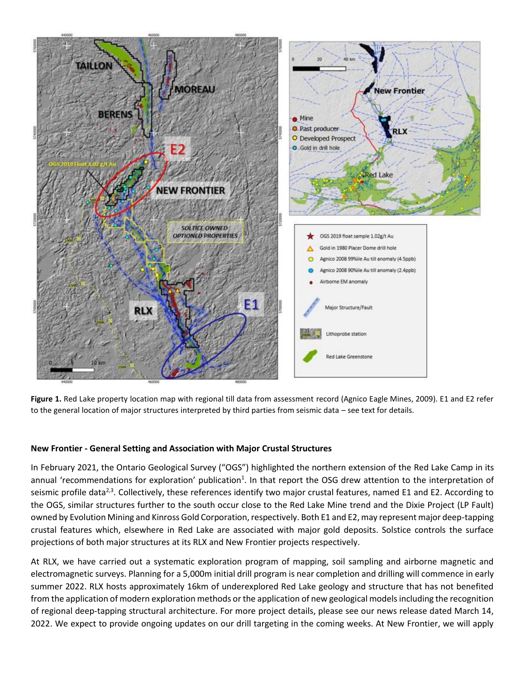

**Figure 1.** Red Lake property location map with regional till data from assessment record (Agnico Eagle Mines, 2009). E1 and E2 refer to the general location of major structures interpreted by third parties from seismic data – see text for details.

# **New Frontier - General Setting and Association with Major Crustal Structures**

In February 2021, the Ontario Geological Survey ("OGS") highlighted the northern extension of the Red Lake Camp in its annual 'recommendations for exploration' publication<sup>1</sup>. In that report the OSG drew attention to the interpretation of seismic profile data<sup>2,3</sup>. Collectively, these references identify two major crustal features, named E1 and E2. According to the OGS, similar structures further to the south occur close to the Red Lake Mine trend and the Dixie Project (LP Fault) owned by Evolution Mining and Kinross Gold Corporation, respectively. Both E1 and E2, may represent major deep-tapping crustal features which, elsewhere in Red Lake are associated with major gold deposits. Solstice controls the surface projections of both major structures at its RLX and New Frontier projects respectively.

At RLX, we have carried out a systematic exploration program of mapping, soil sampling and airborne magnetic and electromagnetic surveys. Planning for a 5,000m initial drill program is near completion and drilling will commence in early summer 2022. RLX hosts approximately 16km of underexplored Red Lake geology and structure that has not benefited from the application of modern exploration methods or the application of new geological models including the recognition of regional deep-tapping structural architecture. For more project details, please see our news release dated March 14, 2022. We expect to provide ongoing updates on our drill targeting in the coming weeks. At New Frontier, we will apply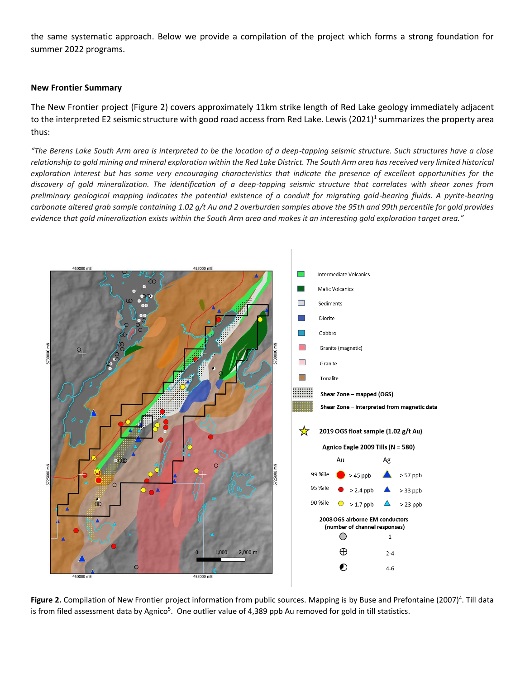the same systematic approach. Below we provide a compilation of the project which forms a strong foundation for summer 2022 programs.

#### **New Frontier Summary**

The New Frontier project (Figure 2) covers approximately 11km strike length of Red Lake geology immediately adjacent to the interpreted E2 seismic structure with good road access from Red Lake. Lewis (2021)<sup>1</sup> summarizes the property area thus:

*"The Berens Lake South Arm area is interpreted to be the location of a deep-tapping seismic structure. Such structures have a close relationship to gold mining and mineral exploration within the Red Lake District. The South Arm area has received very limited historical exploration interest but has some very encouraging characteristics that indicate the presence of excellent opportunities for the discovery of gold mineralization. The identification of a deep-tapping seismic structure that correlates with shear zones from preliminary geological mapping indicates the potential existence of a conduit for migrating gold-bearing fluids. A pyrite-bearing carbonate altered grab sample containing 1.02 g/t Au and 2 overburden samples above the 95th and 99th percentile for gold provides evidence that gold mineralization exists within the South Arm area and makes it an interesting gold exploration target area."*



Figure 2. Compilation of New Frontier project information from public sources. Mapping is by Buse and Prefontaine (2007)<sup>4</sup>. Till data is from filed assessment data by Agnico<sup>5</sup>. One outlier value of 4,389 ppb Au removed for gold in till statistics.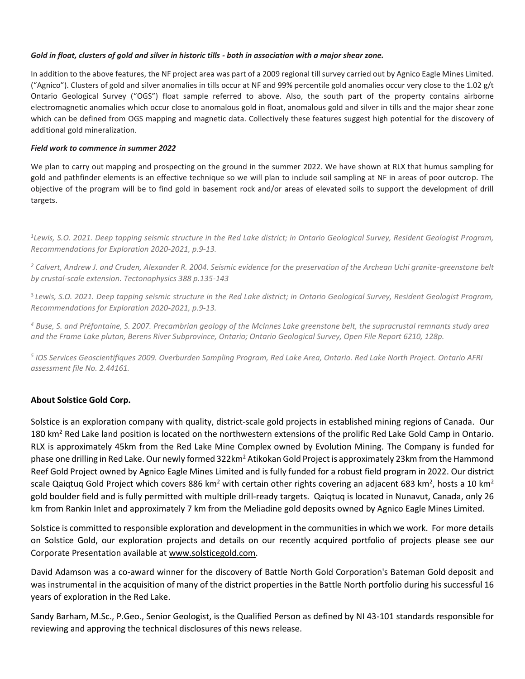#### *Gold in float, clusters of gold and silver in historic tills - both in association with a major shear zone.*

In addition to the above features, the NF project area was part of a 2009 regional till survey carried out by Agnico Eagle Mines Limited. ("Agnico"). Clusters of gold and silver anomalies in tills occur at NF and 99% percentile gold anomalies occur very close to the 1.02 g/t Ontario Geological Survey ("OGS") float sample referred to above. Also, the south part of the property contains airborne electromagnetic anomalies which occur close to anomalous gold in float, anomalous gold and silver in tills and the major shear zone which can be defined from OGS mapping and magnetic data. Collectively these features suggest high potential for the discovery of additional gold mineralization.

## *Field work to commence in summer 2022*

We plan to carry out mapping and prospecting on the ground in the summer 2022. We have shown at RLX that humus sampling for gold and pathfinder elements is an effective technique so we will plan to include soil sampling at NF in areas of poor outcrop. The objective of the program will be to find gold in basement rock and/or areas of elevated soils to support the development of drill targets.

*1 Lewis, S.O. 2021. Deep tapping seismic structure in the Red Lake district; in Ontario Geological Survey, Resident Geologist Program, Recommendations for Exploration 2020-2021, p.9-13.*

*<sup>2</sup> Calvert, Andrew J. and Cruden, Alexander R. 2004. Seismic evidence for the preservation of the Archean Uchi granite-greenstone belt by crustal-scale extension. Tectonophysics 388 p.135-143*

3 *Lewis, S.O. 2021. Deep tapping seismic structure in the Red Lake district; in Ontario Geological Survey, Resident Geologist Program, Recommendations for Exploration 2020-2021, p.9-13.*

*<sup>4</sup> Buse, S. and Préfontaine, S. 2007. Precambrian geology of the McInnes Lake greenstone belt, the supracrustal remnants study area and the Frame Lake pluton, Berens River Subprovince, Ontario; Ontario Geological Survey, Open File Report 6210, 128p.*

*5 IOS Services Geoscientifiques 2009. Overburden Sampling Program, Red Lake Area, Ontario. Red Lake North Project. Ontario AFRI assessment file No. 2.44161.*

# **About Solstice Gold Corp.**

Solstice is an exploration company with quality, district-scale gold projects in established mining regions of Canada. Our 180 km<sup>2</sup> Red Lake land position is located on the northwestern extensions of the prolific Red Lake Gold Camp in Ontario. RLX is approximately 45km from the Red Lake Mine Complex owned by Evolution Mining. The Company is funded for phase one drilling in Red Lake. Our newly formed 322km<sup>2</sup> Atikokan Gold Project is approximately 23km from the Hammond Reef Gold Project owned by Agnico Eagle Mines Limited and is fully funded for a robust field program in 2022. Our district scale Qaiqtuq Gold Project which covers 886 km<sup>2</sup> with certain other rights covering an adjacent 683 km<sup>2</sup>, hosts a 10 km<sup>2</sup> gold boulder field and is fully permitted with multiple drill-ready targets. Qaiqtuq is located in Nunavut, Canada, only 26 km from Rankin Inlet and approximately 7 km from the Meliadine gold deposits owned by Agnico Eagle Mines Limited.

Solstice is committed to responsible exploration and development in the communities in which we work. For more details on Solstice Gold, our exploration projects and details on our recently acquired portfolio of projects please see our Corporate Presentation available at [www.solsticegold.com.](http://www.solsticegold.com/)

David Adamson was a co-award winner for the discovery of Battle North Gold Corporation's Bateman Gold deposit and was instrumental in the acquisition of many of the district properties in the Battle North portfolio during his successful 16 years of exploration in the Red Lake.

Sandy Barham, M.Sc., P.Geo., Senior Geologist, is the Qualified Person as defined by NI 43-101 standards responsible for reviewing and approving the technical disclosures of this news release.